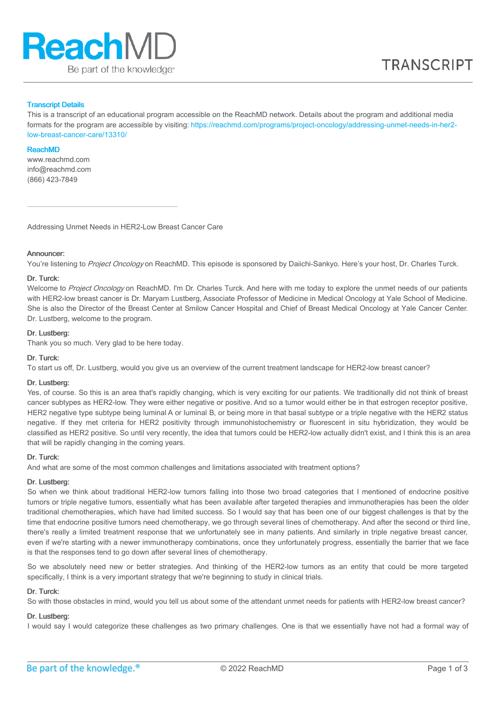

## Transcript Details

This is a transcript of an educational program accessible on the ReachMD network. Details about the program and additional media formats for the program are accessible by visiting: [https://reachmd.com/programs/project-oncology/addressing-unmet-needs-in-her2](https://reachmd.com/programs/project-oncology/addressing-unmet-needs-in-her2-low-breast-cancer-care/13310/) low-breast-cancer-care/13310/

#### ReachMD

www.reachmd.com info@reachmd.com (866) 423-7849

Addressing Unmet Needs in HER2-Low Breast Cancer Care

#### **Announcer:**

You're listening to Project Oncology on ReachMD. This episode is sponsored by Daiichi-Sankyo. Here's your host, Dr. Charles Turck.

#### Dr. Turck:

Welcome to Project Oncology on ReachMD. I'm Dr. Charles Turck. And here with me today to explore the unmet needs of our patients with HER2-low breast cancer is Dr. Maryam Lustberg, Associate Professor of Medicine in Medical Oncology at Yale School of Medicine. She is also the Director of the Breast Center at Smilow Cancer Hospital and Chief of Breast Medical Oncology at Yale Cancer Center. Dr. Lustberg, welcome to the program.

## Dr. Lustberg:

Thank you so much. Very glad to be here today.

## Dr. Turck:

To start us off, Dr. Lustberg, would you give us an overview of the current treatment landscape for HER2-low breast cancer?

#### Dr. Lustberg:

Yes, of course. So this is an area that's rapidly changing, which is very exciting for our patients. We traditionally did not think of breast cancer subtypes as HER2-low. They were either negative or positive. And so a tumor would either be in that estrogen receptor positive, HER2 negative type subtype being luminal A or luminal B, or being more in that basal subtype or a triple negative with the HER2 status negative. If they met criteria for HER2 positivity through immunohistochemistry or fluorescent in situ hybridization, they would be classified as HER2 positive. So until very recently, the idea that tumors could be HER2-low actually didn't exist, and I think this is an area that will be rapidly changing in the coming years.

## Dr. Turck:

And what are some of the most common challenges and limitations associated with treatment options?

#### Dr. Lustberg:

So when we think about traditional HER2-low tumors falling into those two broad categories that I mentioned of endocrine positive tumors or triple negative tumors, essentially what has been available after targeted therapies and immunotherapies has been the older traditional chemotherapies, which have had limited success. So I would say that has been one of our biggest challenges is that by the time that endocrine positive tumors need chemotherapy, we go through several lines of chemotherapy. And after the second or third line, there's really a limited treatment response that we unfortunately see in many patients. And similarly in triple negative breast cancer, even if we're starting with a newer immunotherapy combinations, once they unfortunately progress, essentially the barrier that we face is that the responses tend to go down after several lines of chemotherapy.

So we absolutely need new or better strategies. And thinking of the HER2-low tumors as an entity that could be more targeted specifically, I think is a very important strategy that we're beginning to study in clinical trials.

#### Dr. Turck:

So with those obstacles in mind, would you tell us about some of the attendant unmet needs for patients with HER2-low breast cancer?

#### Dr. Lustberg:

I would say I would categorize these challenges as two primary challenges. One is that we essentially have not had a formal way of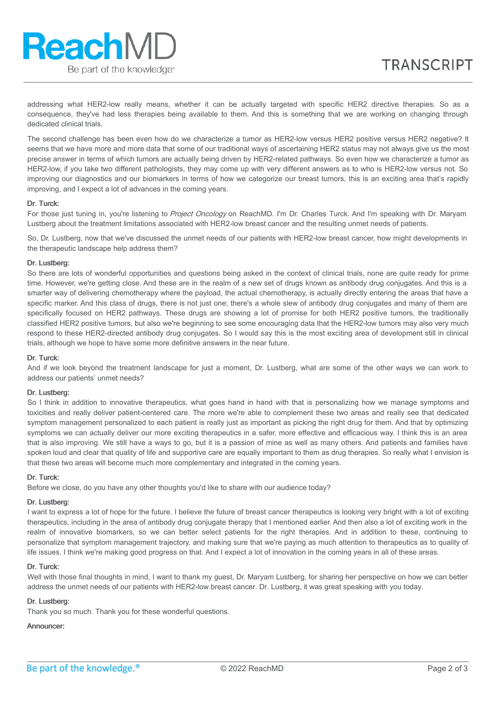addressing what HER2-low really means, whether it can be actually targeted with specific HER2 directive therapies. So as a consequence, they've had less therapies being available to them. And this is something that we are working on changing through dedicated clinical trials.

The second challenge has been even how do we characterize a tumor as HER2-low versus HER2 positive versus HER2 negative? It seems that we have more and more data that some of our traditional ways of ascertaining HER2 status may not always give us the most precise answer in terms of which tumors are actually being driven by HER2-related pathways. So even how we characterize a tumor as HER2-low, if you take two different pathologists, they may come up with very different answers as to who is HER2-low versus not. So improving our diagnostics and our biomarkers in terms of how we categorize our breast tumors, this is an exciting area that's rapidly improving, and I expect a lot of advances in the coming years.

# Dr. Turck:

For those just tuning in, you're listening to Project Oncology on ReachMD. I'm Dr. Charles Turck. And I'm speaking with Dr. Maryam Lustberg about the treatment limitations associated with HER2-low breast cancer and the resulting unmet needs of patients.

So, Dr. Lustberg, now that we've discussed the unmet needs of our patients with HER2-low breast cancer, how might developments in the therapeutic landscape help address them?

## Dr. Lustberg:

So there are lots of wonderful opportunities and questions being asked in the context of clinical trials, none are quite ready for prime time. However, we're getting close. And these are in the realm of a new set of drugs known as antibody drug conjugates. And this is a smarter way of delivering chemotherapy where the payload, the actual chemotherapy, is actually directly entering the areas that have a specific marker. And this class of drugs, there is not just one; there's a whole slew of antibody drug conjugates and many of them are specifically focused on HER2 pathways. These drugs are showing a lot of promise for both HER2 positive tumors, the traditionally classified HER2 positive tumors, but also we're beginning to see some encouraging data that the HER2-low tumors may also very much respond to these HER2-directed antibody drug conjugates. So I would say this is the most exciting area of development still in clinical trials, although we hope to have some more definitive answers in the near future.

# Dr. Turck:

And if we look beyond the treatment landscape for just a moment, Dr. Lustberg, what are some of the other ways we can work to address our patients' unmet needs?

## Dr. Lustberg:

So I think in addition to innovative therapeutics, what goes hand in hand with that is personalizing how we manage symptoms and toxicities and really deliver patient-centered care. The more we're able to complement these two areas and really see that dedicated symptom management personalized to each patient is really just as important as picking the right drug for them. And that by optimizing symptoms we can actually deliver our more exciting therapeutics in a safer, more effective and efficacious way. I think this is an area that is also improving. We still have a ways to go, but it is a passion of mine as well as many others. And patients and families have spoken loud and clear that quality of life and supportive care are equally important to them as drug therapies. So really what I envision is that these two areas will become much more complementary and integrated in the coming years.

## Dr. Turck:

Before we close, do you have any other thoughts you'd like to share with our audience today?

# Dr. Lustberg:

I want to express a lot of hope for the future. I believe the future of breast cancer therapeutics is looking very bright with a lot of exciting therapeutics, including in the area of antibody drug conjugate therapy that I mentioned earlier. And then also a lot of exciting work in the realm of innovative biomarkers, so we can better select patients for the right therapies. And in addition to these, continuing to personalize that symptom management trajectory, and making sure that we're paying as much attention to therapeutics as to quality of life issues. I think we're making good progress on that. And I expect a lot of innovation in the coming years in all of these areas.

## Dr. Turck:

Well with those final thoughts in mind, I want to thank my guest, Dr. Maryam Lustberg, for sharing her perspective on how we can better address the unmet needs of our patients with HER2-low breast cancer. Dr. Lustberg, it was great speaking with you today.

# Dr. Lustberg:

Thank you so much. Thank you for these wonderful questions.

# Announcer: